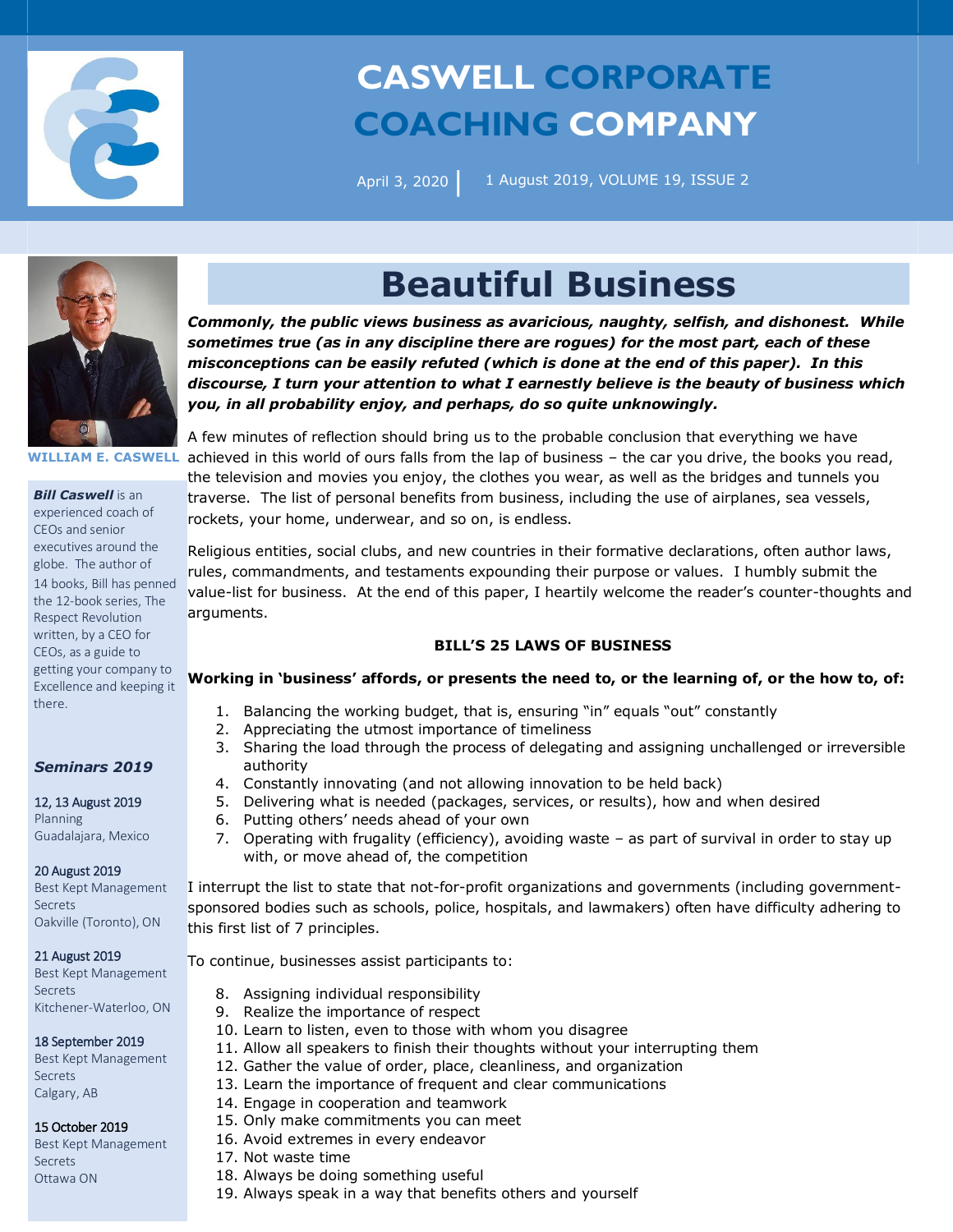

# **CASWELL CORPORATE COACHING COMPANY**

April 3, 2020 **|** 

1 August 2019, VOLUME 19, ISSUE 2



**WILLIAM E. CASWELL**

*Bill Caswell* is an experienced coach of CEOs and senior executives around the globe. The author of 14 books, Bill has penned the 12-book series, The Respect Revolution written, by a CEO for CEOs, as a guide to getting your company to Excellence and keeping it there.

### *Seminars 2019*

12, 13 August 2019 Planning Guadalajara, Mexico

#### 20 August 2019

Best Kept Management Secrets Oakville (Toronto), ON

#### 21 August 2019

Best Kept Management Secrets Kitchener-Waterloo, ON

### 18 September 2019

Best Kept Management Secrets Calgary, AB

### 15 October 2019

Best Kept Management Secrets Ottawa ON

## **Beautiful Business**

*Commonly, the public views business as avaricious, naughty, selfish, and dishonest. While sometimes true (as in any discipline there are rogues) for the most part, each of these misconceptions can be easily refuted (which is done at the end of this paper). In this discourse, I turn your attention to what I earnestly believe is the beauty of business which you, in all probability enjoy, and perhaps, do so quite unknowingly.* 

A few minutes of reflection should bring us to the probable conclusion that everything we have achieved in this world of ours falls from the lap of business – the car you drive, the books you read, the television and movies you enjoy, the clothes you wear, as well as the bridges and tunnels you traverse. The list of personal benefits from business, including the use of airplanes, sea vessels, rockets, your home, underwear, and so on, is endless.

Religious entities, social clubs, and new countries in their formative declarations, often author laws, rules, commandments, and testaments expounding their purpose or values. I humbly submit the value-list for business. At the end of this paper, I heartily welcome the reader's counter-thoughts and arguments.

## **BILL'S 25 LAWS OF BUSINESS**

## **Working in 'business' affords, or presents the need to, or the learning of, or the how to, of:**

- 1. Balancing the working budget, that is, ensuring "in" equals "out" constantly
- 2. Appreciating the utmost importance of timeliness
- 3. Sharing the load through the process of delegating and assigning unchallenged or irreversible authority
- 4. Constantly innovating (and not allowing innovation to be held back)
- 5. Delivering what is needed (packages, services, or results), how and when desired
- 6. Putting others' needs ahead of your own
- 7. Operating with frugality (efficiency), avoiding waste as part of survival in order to stay up with, or move ahead of, the competition

I interrupt the list to state that not-for-profit organizations and governments (including governmentsponsored bodies such as schools, police, hospitals, and lawmakers) often have difficulty adhering to this first list of 7 principles.

To continue, businesses assist participants to:

- 8. Assigning individual responsibility
- 9. Realize the importance of respect
- 10. Learn to listen, even to those with whom you disagree
- 11. Allow all speakers to finish their thoughts without your interrupting them
- 12. Gather the value of order, place, cleanliness, and organization
- 13. Learn the importance of frequent and clear communications
- 14. Engage in cooperation and teamwork
- 15. Only make commitments you can meet
- 16. Avoid extremes in every endeavor
- 17. Not waste time
- 18. Always be doing something useful
- 19. Always speak in a way that benefits others and yourself